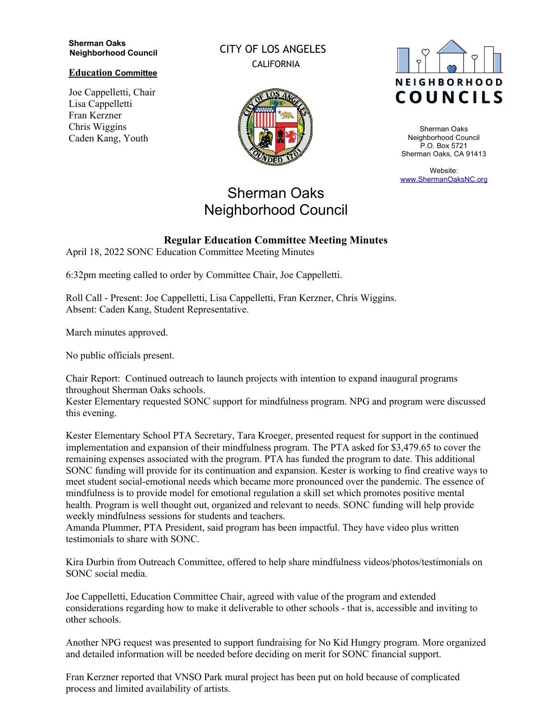#### **Sherman Oaks Neighborhood Council**

## **Education Committee**

Joe Cappelletti, Chair Lisa Cappelletti Fran Kerzner Chris Wiggins Caden Kang, Youth

CITY OF LOS ANGELES CALIFORNIA



## Sherman Oaks Neighborhood Council

# **NEIGHBORHOOD** COUNCILS

Sherman Oaks Neighborhood Council P.O. Box 5721 Sherman Oaks, CA 91413

Website: www.ShermanOaksNC.org

## **Regular Education Committee Meeting Minutes** April 18, 2022 SONC Education Committee Meeting Minutes

6:32pm meeting called to order by Committee Chair, Joe Cappelletti.

Roll Call - Present: Joe Cappelletti, Lisa Cappelletti, Fran Kerzner, Chris Wiggins. Absent: Caden Kang, Student Representative.

March minutes approved.

No public officials present.

Chair Report: Continued outreach to launch projects with intention to expand inaugural programs throughout Sherman Oaks schools.

Kester Elementary requested SONC support for mindfulness program. NPG and program were discussed this evening.

Kester Elementary School PTA Secretary, Tara Kroeger, presented request for support in the continued implementation and expansion of their mindfulness program. The PTA asked for \$3,479.65 to cover the remaining expenses associated with the program. PTA has funded the program to date. This additional SONC funding will provide for its continuation and expansion. Kester is working to find creative ways to meet student social-emotional needs which became more pronounced over the pandemic. The essence of mindfulness is to provide model for emotional regulation a skill set which promotes positive mental health. Program is well thought out, organized and relevant to needs. SONC funding will help provide weekly mindfulness sessions for students and teachers.

Amanda Plummer, PTA President, said program has been impactful. They have video plus written testimonials to share with SONC.

Kira Durbin from Outreach Committee, offered to help share mindfulness videos/photos/testimonials on SONC social media.

Joe Cappelletti, Education Committee Chair, agreed with value of the program and extended considerations regarding how to make it deliverable to other schools - that is, accessible and inviting to other schools.

Another NPG request was presented to support fundraising for No Kid Hungry program. More organized and detailed information will be needed before deciding on merit for SONC financial support.

Fran Kerzner reported that VNSO Park mural project has been put on hold because of complicated process and limited availability of artists.